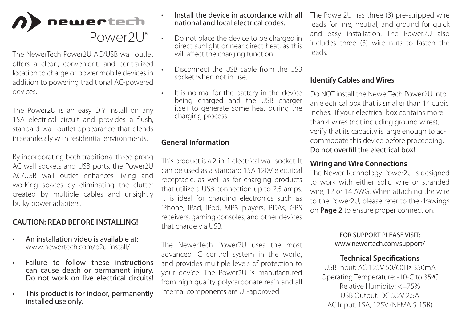

The NewerTech Power2U AC/USB wall outlet offers a clean, convenient, and centralized location to charge or power mobile devices in addition to powering traditional AC-powered devices.

The Power2U is an easy DIY install on any 15A electrical circuit and provides a flush, standard wall outlet appearance that blends in seamlessly with residential environments.

By incorporating both traditional three-prong AC wall sockets and USB ports, the Power2U AC/USB wall outlet enhances living and working spaces by eliminating the clutter created by multiple cables and unsightly bulky power adapters.

## **CAUTION: READ BEFORE INSTALLING!**

- An installation video is available at: www.newertech.com/p2u-install/
- Failure to follow these instructions can cause death or permanent injury. Do not work on live electrical circuits!
- This product is for indoor, permanently installed use only.
- Install the device in accordance with all national and local electrical codes.
- Do not place the device to be charged in direct sunlight or near direct heat, as this will affect the charging function.
	- Disconnect the USB cable from the USB socket when not in use.
- It is normal for the battery in the device being charged and the USB charger itself to generate some heat during the charging process.

## **General Information**

This product is a 2-in-1 electrical wall socket. It can be used as a standard 15A 120V electrical receptacle, as well as for charging products that utilize a USB connection up to 2.5 amps. It is ideal for charging electronics such as iPhone, iPad, iPod, MP3 players, PDAs, GPS receivers, gaming consoles, and other devices that charge via USB.

The NewerTech Power2U uses the most advanced IC control system in the world, and provides multiple levels of protection to your device. The Power2U is manufactured from high quality polycarbonate resin and all internal components are UL-approved.

The Power2U has three (3) pre-stripped wire leads for line, neutral, and ground for quick and easy installation. The Power2U also includes three (3) wire nuts to fasten the leads.

### **Identify Cables and Wires**

Do NOT install the NewerTech Power2U into an electrical box that is smaller than 14 cubic inches. If your electrical box contains more than 4 wires (not including ground wires), verify that its capacity is large enough to accommodate this device before proceeding. Do not overfill the electrical box!

## **Wiring and Wire Connections**

The Newer Technology Power2U is designed to work with either solid wire or stranded wire, 12 or 14 AWG. When attaching the wire to the Power2U, please refer to the drawings on **Page 2** to ensure proper connection.

#### FOR SUPPORT PLEASE VISIT: [www.newertech.com/support](http://www.newertech.com/support)/

# **Technical Specifications**

USB Input: AC 125V 50/60Hz 350mA Operating Temperature: -10ºC to 35ºC Relative Humidity: <=75% USB Output: DC 5.2V 2.5A AC Input: 15A, 125V (NEMA 5-15R)